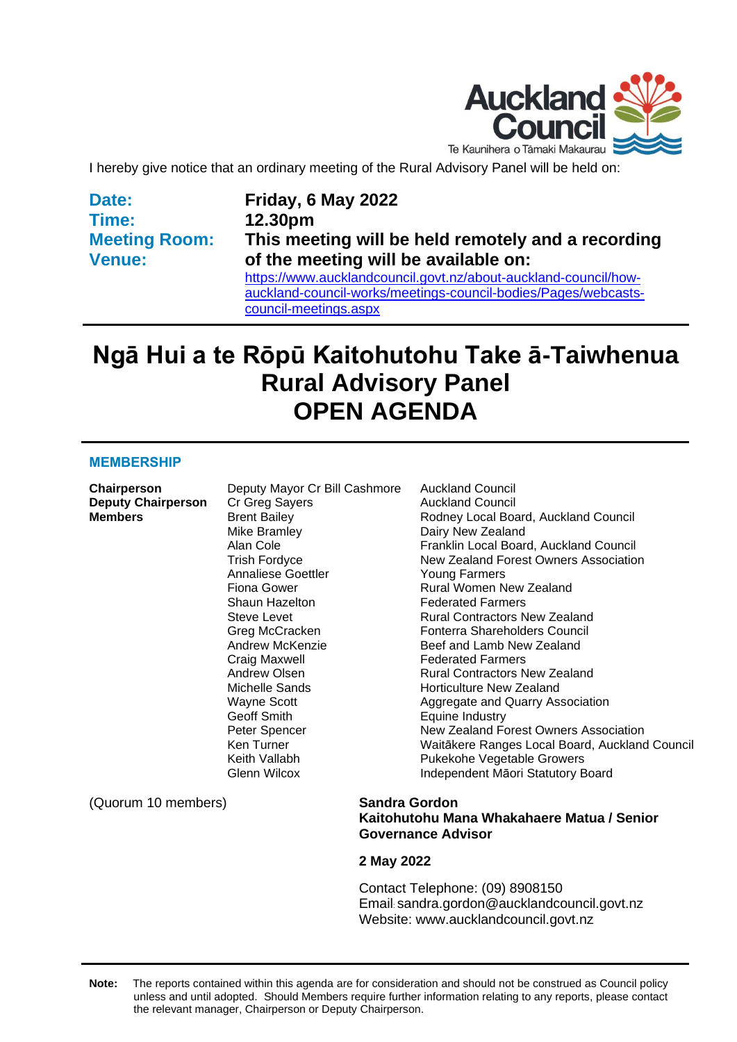

I hereby give notice that an ordinary meeting of the Rural Advisory Panel will be held on:

**Date: Time: Meeting Room: Venue:**

#### **Friday, 6 May 2022 12.30pm This meeting will be held remotely and a recording of the meeting will be available on:** [https://www.aucklandcouncil.govt.nz/about-auckland-council/how](https://www.aucklandcouncil.govt.nz/about-auckland-council/how-auckland-council-works/meetings-council-bodies/Pages/webcasts-council-meetings.aspx)[auckland-council-works/meetings-council-bodies/Pages/webcasts](https://www.aucklandcouncil.govt.nz/about-auckland-council/how-auckland-council-works/meetings-council-bodies/Pages/webcasts-council-meetings.aspx)[council-meetings.aspx](https://www.aucklandcouncil.govt.nz/about-auckland-council/how-auckland-council-works/meetings-council-bodies/Pages/webcasts-council-meetings.aspx)

## **Ngā Hui a te Rōpū Kaitohutohu Take ā-Taiwhenua Rural Advisory Panel OPEN AGENDA**

#### **MEMBERSHIP**

**Chairperson** Deputy Mayor Cr Bill Cashmore Auckland Council **Deputy Chairperson** Cr Greg Sayers **Auckland Council** Mike Bramley **Dairy New Zealand** Annaliese Goettler **The Coung Tarmers** Shaun Hazelton **Federated Farmers**<br>
Steve Levet **Face Contacts** Rural Contractors N Craig Maxwell **Federated Farmers** Geoff Smith **Equine Industry** 

**Members Brent Bailey Rodney Local Board, Auckland Council** Alan Cole Franklin Local Board, Auckland Council Trish Fordyce **New Zealand Forest Owners Association** Fiona Gower **Rural Women New Zealand**<br> **Shaun Hazelton** Christen Rederated Farmers **Rural Contractors New Zealand** Greg McCracken Fonterra Shareholders Council<br>Andrew McKenzie **Fonter and Lamb New Zealand** Beef and Lamb New Zealand Andrew Olsen **Rural Contractors New Zealand** Michelle Sands **Horticulture New Zealand** Wayne Scott **Aggregate and Quarry Association** Peter Spencer New Zealand Forest Owners Association Ken Turner Waitākere Ranges Local Board, Auckland Council Keith Vallabh **Pukekohe Vegetable Growers** Glenn Wilcox **Independent Māori Statutory Board** 

(Quorum 10 members) **Sandra Gordon**

## **Kaitohutohu Mana Whakahaere Matua / Senior Governance Advisor**

#### **2 May 2022**

Contact Telephone: (09) 8908150 Email: sandra.gordon@aucklandcouncil.govt.nz Website: www.aucklandcouncil.govt.nz

**Note:** The reports contained within this agenda are for consideration and should not be construed as Council policy unless and until adopted. Should Members require further information relating to any reports, please contact the relevant manager, Chairperson or Deputy Chairperson.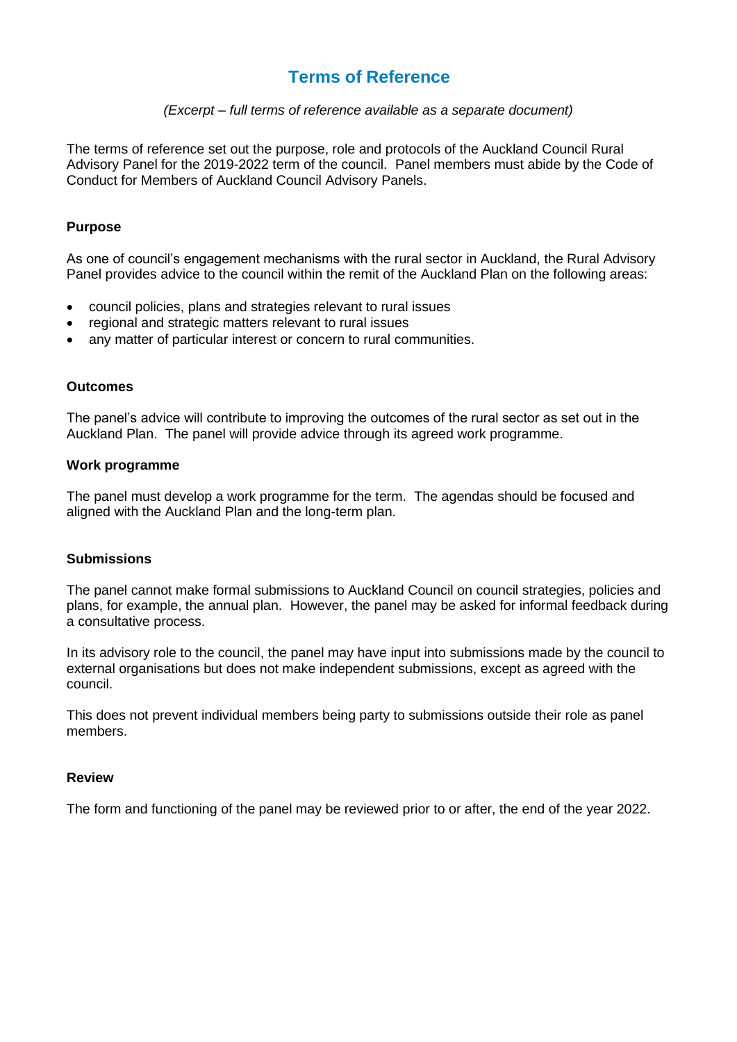#### **Terms of Reference**

#### *(Excerpt – full terms of reference available as a separate document)*

The terms of reference set out the purpose, role and protocols of the Auckland Council Rural Advisory Panel for the 2019-2022 term of the council. Panel members must abide by the Code of Conduct for Members of Auckland Council Advisory Panels.

#### **Purpose**

As one of council's engagement mechanisms with the rural sector in Auckland, the Rural Advisory Panel provides advice to the council within the remit of the Auckland Plan on the following areas:

- council policies, plans and strategies relevant to rural issues
- regional and strategic matters relevant to rural issues
- any matter of particular interest or concern to rural communities.

#### **Outcomes**

The panel's advice will contribute to improving the outcomes of the rural sector as set out in the Auckland Plan. The panel will provide advice through its agreed work programme.

#### **Work programme**

The panel must develop a work programme for the term. The agendas should be focused and aligned with the Auckland Plan and the long-term plan.

#### **Submissions**

The panel cannot make formal submissions to Auckland Council on council strategies, policies and plans, for example, the annual plan. However, the panel may be asked for informal feedback during a consultative process.

In its advisory role to the council, the panel may have input into submissions made by the council to external organisations but does not make independent submissions, except as agreed with the council.

This does not prevent individual members being party to submissions outside their role as panel members.

#### **Review**

The form and functioning of the panel may be reviewed prior to or after, the end of the year 2022.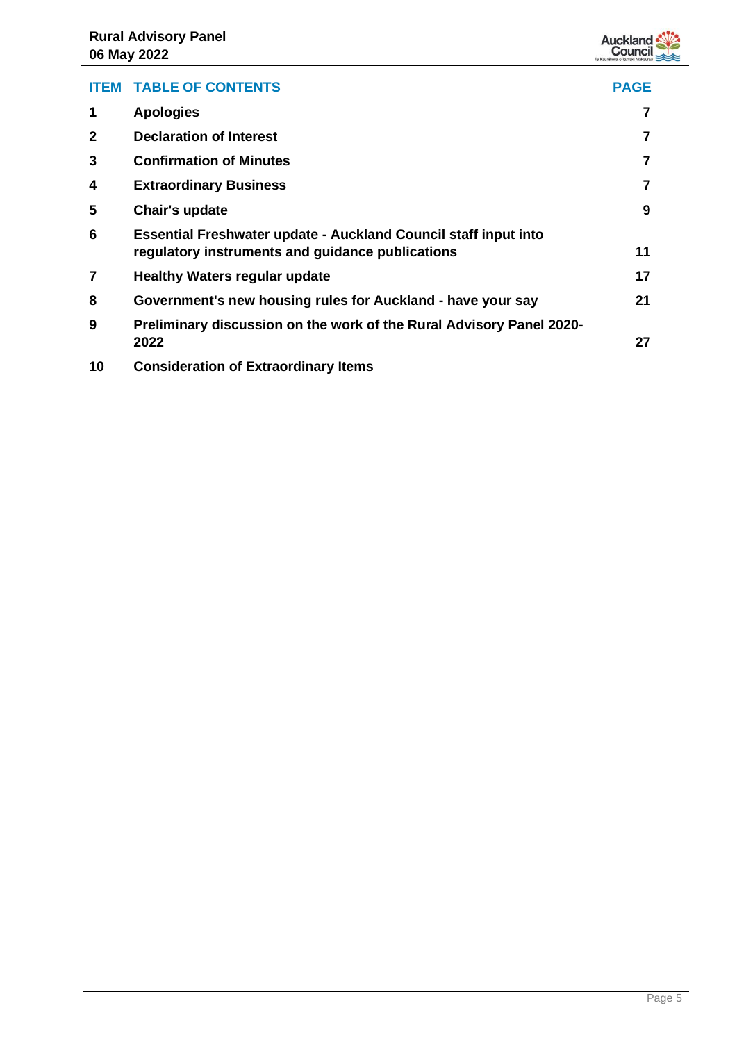

| <b>ITEM</b>  | <b>TABLE OF CONTENTS</b>                                                                                                   | <b>PAGE</b> |
|--------------|----------------------------------------------------------------------------------------------------------------------------|-------------|
| 1            | <b>Apologies</b>                                                                                                           |             |
| $\mathbf{2}$ | <b>Declaration of Interest</b>                                                                                             |             |
| 3            | <b>Confirmation of Minutes</b>                                                                                             | 7           |
| 4            | <b>Extraordinary Business</b>                                                                                              |             |
| 5            | Chair's update                                                                                                             | 9           |
| 6            | <b>Essential Freshwater update - Auckland Council staff input into</b><br>regulatory instruments and guidance publications | 11          |
| 7            | <b>Healthy Waters regular update</b>                                                                                       | 17          |
| 8            | Government's new housing rules for Auckland - have your say                                                                | 21          |
| 9            | Preliminary discussion on the work of the Rural Advisory Panel 2020-<br>2022                                               | 27          |
| 10           | <b>Consideration of Extraordinary Items</b>                                                                                |             |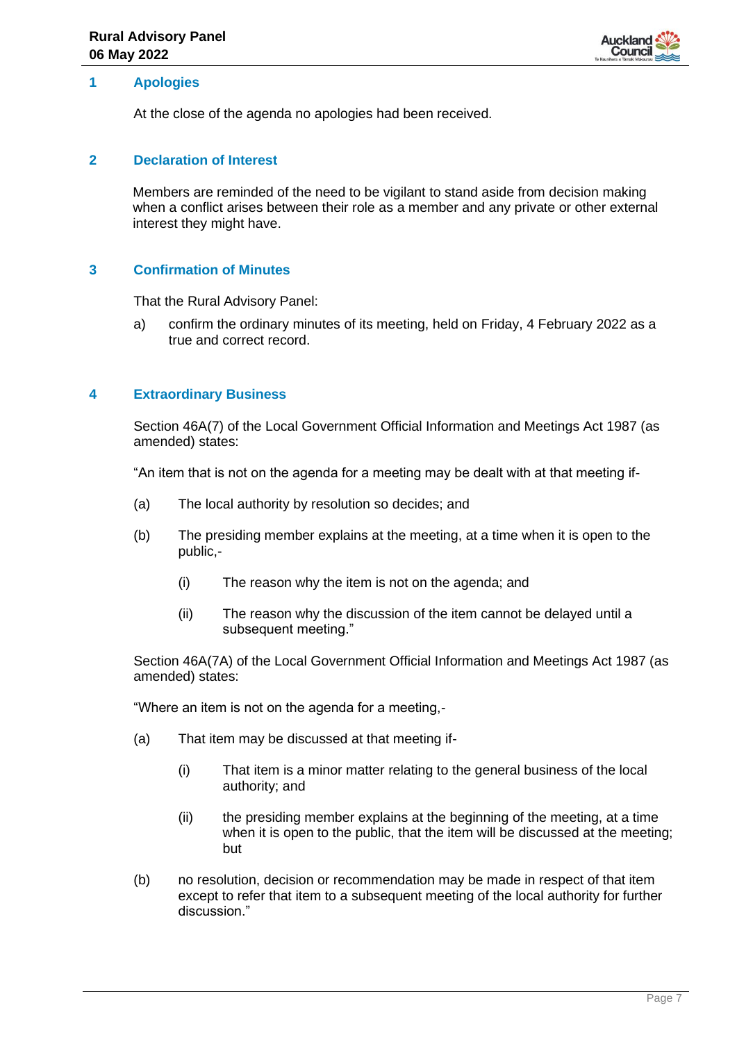

#### <span id="page-6-0"></span>**1 Apologies**

At the close of the agenda no apologies had been received.

#### <span id="page-6-1"></span>**2 Declaration of Interest**

Members are reminded of the need to be vigilant to stand aside from decision making when a conflict arises between their role as a member and any private or other external interest they might have.

#### <span id="page-6-2"></span>**3 Confirmation of Minutes**

That the Rural Advisory Panel:

a) confirm the ordinary minutes of its meeting, held on Friday, 4 February 2022 as a true and correct record.

#### <span id="page-6-3"></span>**4 Extraordinary Business**

Section 46A(7) of the Local Government Official Information and Meetings Act 1987 (as amended) states:

"An item that is not on the agenda for a meeting may be dealt with at that meeting if-

- (a) The local authority by resolution so decides; and
- (b) The presiding member explains at the meeting, at a time when it is open to the public,-
	- (i) The reason why the item is not on the agenda; and
	- (ii) The reason why the discussion of the item cannot be delayed until a subsequent meeting."

Section 46A(7A) of the Local Government Official Information and Meetings Act 1987 (as amended) states:

"Where an item is not on the agenda for a meeting,-

- (a) That item may be discussed at that meeting if-
	- (i) That item is a minor matter relating to the general business of the local authority; and
	- (ii) the presiding member explains at the beginning of the meeting, at a time when it is open to the public, that the item will be discussed at the meeting; but
- (b) no resolution, decision or recommendation may be made in respect of that item except to refer that item to a subsequent meeting of the local authority for further discussion."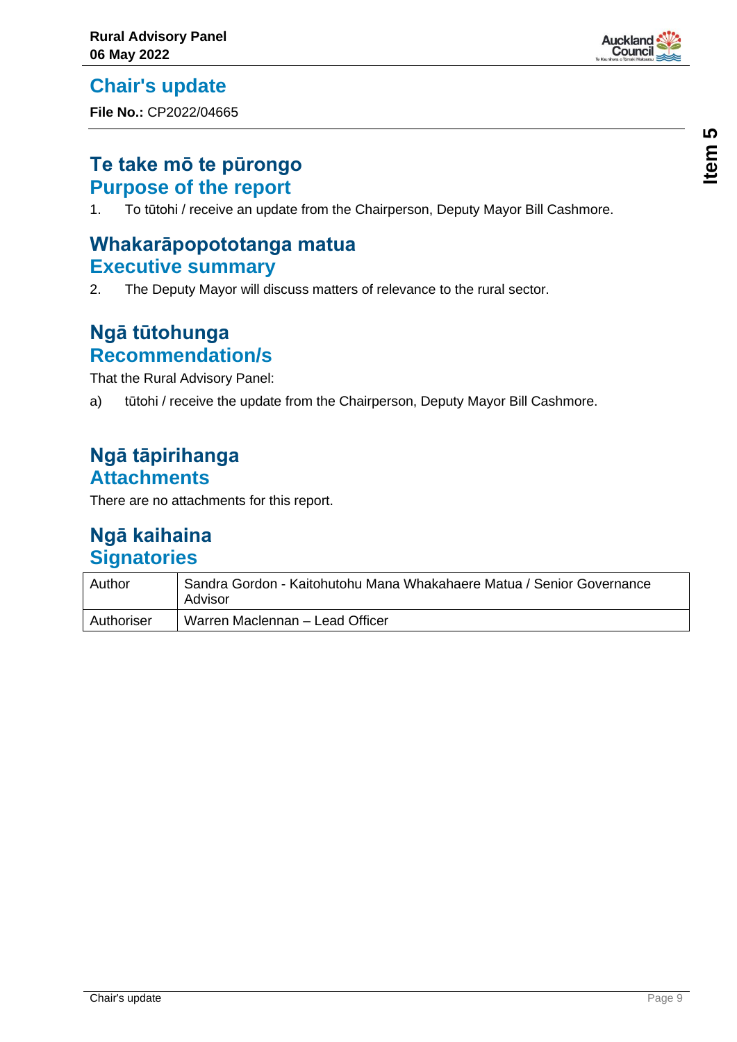<span id="page-8-0"></span>**Chair's update**

**File No.:** CP2022/04665

## **Te take mō te pūrongo Purpose of the report**

1. To tūtohi / receive an update from the Chairperson, Deputy Mayor Bill Cashmore.

## **Whakarāpopototanga matua Executive summary**

2. The Deputy Mayor will discuss matters of relevance to the rural sector.

## **Ngā tūtohunga Recommendation/s**

That the Rural Advisory Panel:

a) tūtohi / receive the update from the Chairperson, Deputy Mayor Bill Cashmore.

## **Ngā tāpirihanga Attachments**

There are no attachments for this report.

| Author     | Sandra Gordon - Kaitohutohu Mana Whakahaere Matua / Senior Governance<br>Advisor |
|------------|----------------------------------------------------------------------------------|
| Authoriser | Warren Maclennan - Lead Officer                                                  |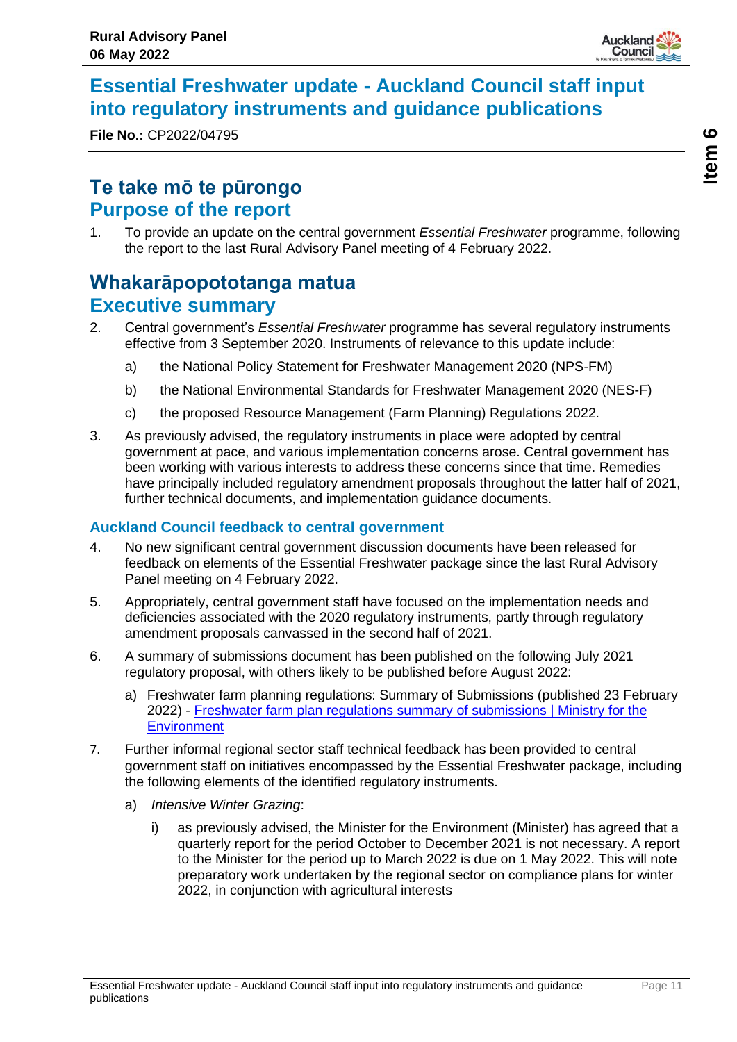

## <span id="page-10-0"></span>**Essential Freshwater update - Auckland Council staff input into regulatory instruments and guidance publications**

**File No.:** CP2022/04795

## **Te take mō te pūrongo Purpose of the report**

1. To provide an update on the central government *Essential Freshwater* programme, following the report to the last Rural Advisory Panel meeting of 4 February 2022.

## **Whakarāpopototanga matua Executive summary**

- 2. Central government's *Essential Freshwater* programme has several regulatory instruments effective from 3 September 2020. Instruments of relevance to this update include:
	- a) the National Policy Statement for Freshwater Management 2020 (NPS-FM)
	- b) the National Environmental Standards for Freshwater Management 2020 (NES-F)
	- c) the proposed Resource Management (Farm Planning) Regulations 2022.
- 3. As previously advised, the regulatory instruments in place were adopted by central government at pace, and various implementation concerns arose. Central government has been working with various interests to address these concerns since that time. Remedies have principally included regulatory amendment proposals throughout the latter half of 2021, further technical documents, and implementation guidance documents.

#### **Auckland Council feedback to central government**

- 4. No new significant central government discussion documents have been released for feedback on elements of the Essential Freshwater package since the last Rural Advisory Panel meeting on 4 February 2022.
- 5. Appropriately, central government staff have focused on the implementation needs and deficiencies associated with the 2020 regulatory instruments, partly through regulatory amendment proposals canvassed in the second half of 2021.
- 6. A summary of submissions document has been published on the following July 2021 regulatory proposal, with others likely to be published before August 2022:
	- a) Freshwater farm planning regulations: Summary of Submissions (published 23 February 2022) - [Freshwater farm plan regulations summary of submissions | Ministry for the](https://environment.govt.nz/publications/freshwater-farm-plan-regulations/)  **[Environment](https://environment.govt.nz/publications/freshwater-farm-plan-regulations/)**
- 7. Further informal regional sector staff technical feedback has been provided to central government staff on initiatives encompassed by the Essential Freshwater package, including the following elements of the identified regulatory instruments.
	- a) *Intensive Winter Grazing*:
		- i) as previously advised, the Minister for the Environment (Minister) has agreed that a quarterly report for the period October to December 2021 is not necessary. A report to the Minister for the period up to March 2022 is due on 1 May 2022. This will note preparatory work undertaken by the regional sector on compliance plans for winter 2022, in conjunction with agricultural interests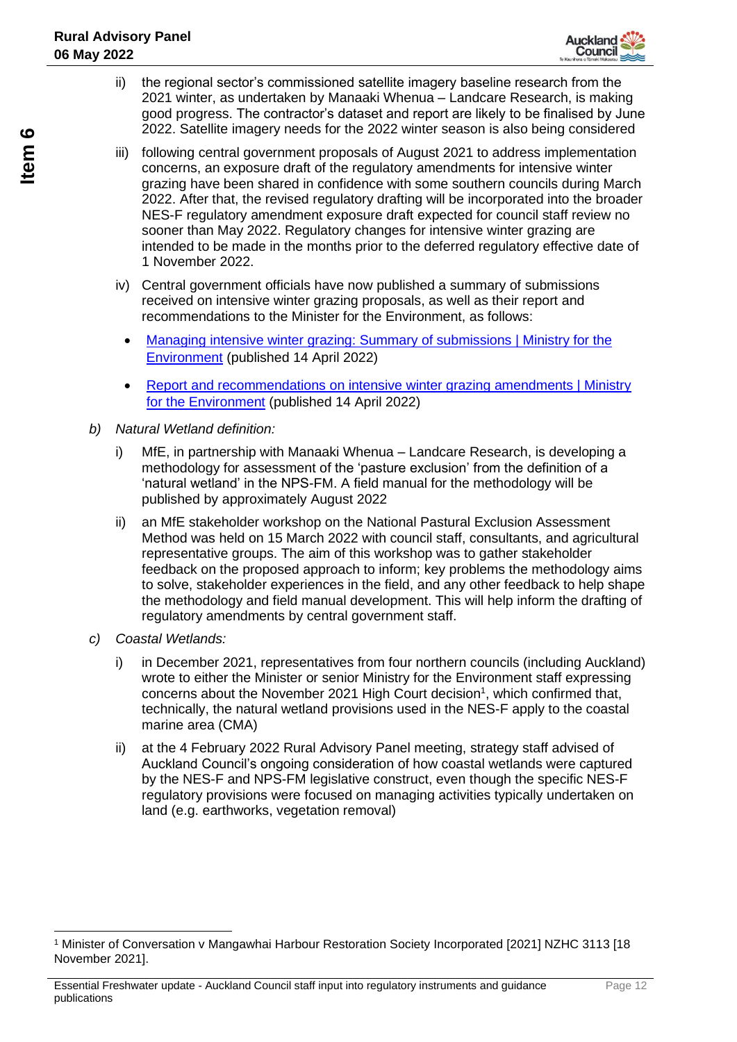

- ii) the regional sector's commissioned satellite imagery baseline research from the 2021 winter, as undertaken by Manaaki Whenua – Landcare Research, is making good progress. The contractor's dataset and report are likely to be finalised by June 2022. Satellite imagery needs for the 2022 winter season is also being considered
- iii) following central government proposals of August 2021 to address implementation concerns, an exposure draft of the regulatory amendments for intensive winter grazing have been shared in confidence with some southern councils during March 2022. After that, the revised regulatory drafting will be incorporated into the broader NES-F regulatory amendment exposure draft expected for council staff review no sooner than May 2022. Regulatory changes for intensive winter grazing are intended to be made in the months prior to the deferred regulatory effective date of 1 November 2022.
- iv) Central government officials have now published a summary of submissions received on intensive winter grazing proposals, as well as their report and recommendations to the Minister for the Environment, as follows:
	- Managing intensive winter grazing: Summary of submissions | Ministry for the [Environment](https://environment.govt.nz/publications/managing-iwg-summary-of-submissions/) (published 14 April 2022)
	- Report [and recommendations on intensive winter grazing amendments | Ministry](https://environment.govt.nz/publications/report-and-recommendations-on-iwg-amendments/)  [for the Environment](https://environment.govt.nz/publications/report-and-recommendations-on-iwg-amendments/) (published 14 April 2022)
- *b) Natural Wetland definition:*
	- i) MfE, in partnership with Manaaki Whenua Landcare Research, is developing a methodology for assessment of the 'pasture exclusion' from the definition of a 'natural wetland' in the NPS-FM. A field manual for the methodology will be published by approximately August 2022
	- ii) an MfE stakeholder workshop on the National Pastural Exclusion Assessment Method was held on 15 March 2022 with council staff, consultants, and agricultural representative groups. The aim of this workshop was to gather stakeholder feedback on the proposed approach to inform; key problems the methodology aims to solve, stakeholder experiences in the field, and any other feedback to help shape the methodology and field manual development. This will help inform the drafting of regulatory amendments by central government staff.
- *c) Coastal Wetlands:*
	- i) in December 2021, representatives from four northern councils (including Auckland) wrote to either the Minister or senior Ministry for the Environment staff expressing concerns about the November 2021 High Court decision<sup>1</sup>, which confirmed that, technically, the natural wetland provisions used in the NES-F apply to the coastal marine area (CMA)
	- ii) at the 4 February 2022 Rural Advisory Panel meeting, strategy staff advised of Auckland Council's ongoing consideration of how coastal wetlands were captured by the NES-F and NPS-FM legislative construct, even though the specific NES-F regulatory provisions were focused on managing activities typically undertaken on land (e.g. earthworks, vegetation removal)

<sup>1</sup> Minister of Conversation v Mangawhai Harbour Restoration Society Incorporated [2021] NZHC 3113 [18 November 2021].

Essential Freshwater update - Auckland Council staff input into regulatory instruments and guidance publications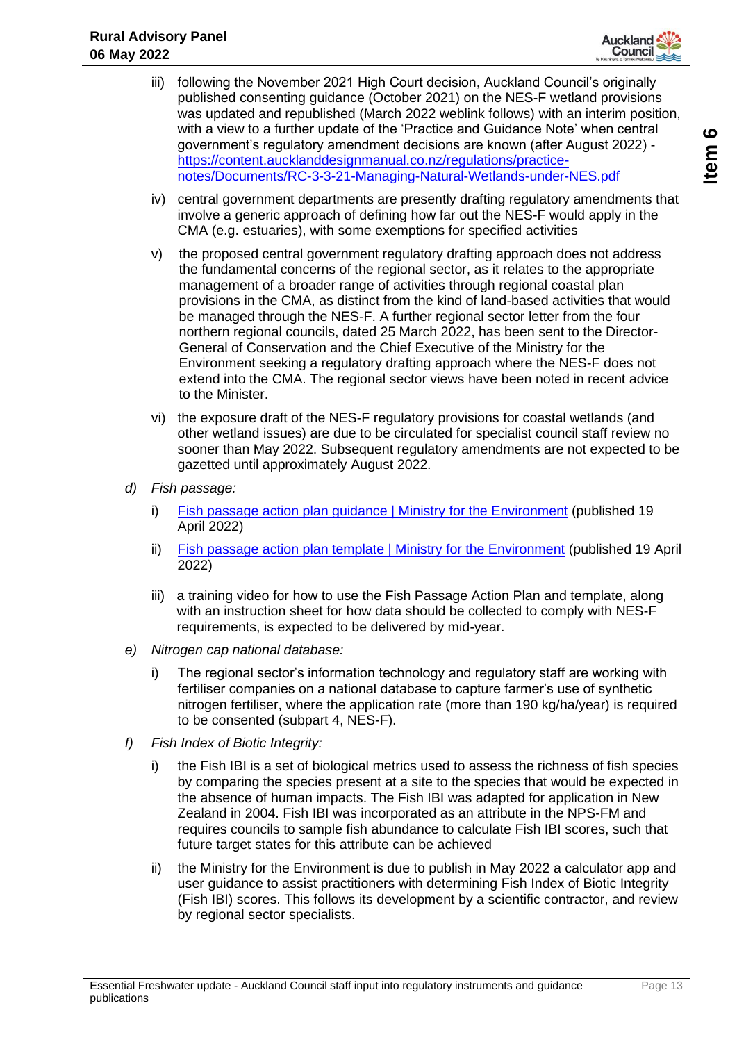

- iii) following the November 2021 High Court decision, Auckland Council's originally published consenting guidance (October 2021) on the NES-F wetland provisions was updated and republished (March 2022 weblink follows) with an interim position, with a view to a further update of the 'Practice and Guidance Note' when central government's regulatory amendment decisions are known (after August 2022) [https://content.aucklanddesignmanual.co.nz/regulations/practice](https://content.aucklanddesignmanual.co.nz/regulations/practice-notes/Documents/RC-3-3-21-Managing-Natural-Wetlands-under-NES.pdf)[notes/Documents/RC-3-3-21-Managing-Natural-Wetlands-under-NES.pdf](https://content.aucklanddesignmanual.co.nz/regulations/practice-notes/Documents/RC-3-3-21-Managing-Natural-Wetlands-under-NES.pdf)
- iv) central government departments are presently drafting regulatory amendments that involve a generic approach of defining how far out the NES-F would apply in the CMA (e.g. estuaries), with some exemptions for specified activities
- v) the proposed central government regulatory drafting approach does not address the fundamental concerns of the regional sector, as it relates to the appropriate management of a broader range of activities through regional coastal plan provisions in the CMA, as distinct from the kind of land-based activities that would be managed through the NES-F. A further regional sector letter from the four northern regional councils, dated 25 March 2022, has been sent to the Director-General of Conservation and the Chief Executive of the Ministry for the Environment seeking a regulatory drafting approach where the NES-F does not extend into the CMA. The regional sector views have been noted in recent advice to the Minister.
- vi) the exposure draft of the NES-F regulatory provisions for coastal wetlands (and other wetland issues) are due to be circulated for specialist council staff review no sooner than May 2022. Subsequent regulatory amendments are not expected to be gazetted until approximately August 2022.
- *d) Fish passage:*
	- i) [Fish passage action plan guidance | Ministry for the Environment](https://environment.govt.nz/publications/fish-passage-action-plan-guidance/) (published 19 April 2022)
	- ii) [Fish passage action plan template | Ministry for the Environment](https://environment.govt.nz/publications/fish-passage-action-plan-template/) (published 19 April 2022)
	- iii) a training video for how to use the Fish Passage Action Plan and template, along with an instruction sheet for how data should be collected to comply with NES-F requirements, is expected to be delivered by mid-year.
- *e) Nitrogen cap national database:*
	- i) The regional sector's information technology and regulatory staff are working with fertiliser companies on a national database to capture farmer's use of synthetic nitrogen fertiliser, where the application rate (more than 190 kg/ha/year) is required to be consented (subpart 4, NES-F).
- *f) Fish Index of Biotic Integrity:*
	- i) the Fish IBI is a set of biological metrics used to assess the richness of fish species by comparing the species present at a site to the species that would be expected in the absence of human impacts. The Fish IBI was adapted for application in New Zealand in 2004. Fish IBI was incorporated as an attribute in the NPS-FM and requires councils to sample fish abundance to calculate Fish IBI scores, such that future target states for this attribute can be achieved
	- ii) the Ministry for the Environment is due to publish in May 2022 a calculator app and user guidance to assist practitioners with determining Fish Index of Biotic Integrity (Fish IBI) scores. This follows its development by a scientific contractor, and review by regional sector specialists.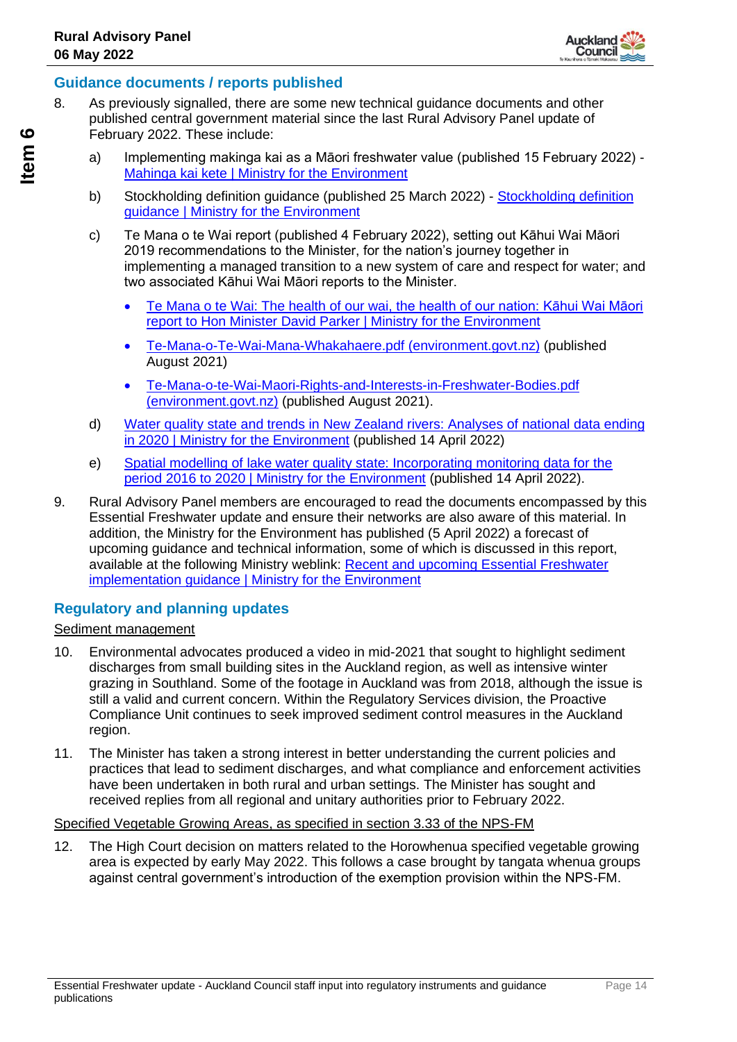

#### **Guidance documents / reports published**

- 8. As previously signalled, there are some new technical guidance documents and other published central government material since the last Rural Advisory Panel update of February 2022. These include:
	- a) Implementing makinga kai as a Māori freshwater value (published 15 February 2022) Mahinga kai kete | [Ministry for the Environment](https://environment.govt.nz/publications/mahinga-kai-kete/)
	- b) Stockholding definition guidance (published 25 March 2022) [Stockholding definition](https://environment.govt.nz/publications/stockholding-definition-guidance/)  [guidance | Ministry for the Environment](https://environment.govt.nz/publications/stockholding-definition-guidance/)
	- c) Te Mana o te Wai report (published 4 February 2022), setting out Kāhui Wai Māori 2019 recommendations to the Minister, for the nation's journey together in implementing a managed transition to a new system of care and respect for water; and two associated Kāhui Wai Māori reports to the Minister.
		- [Te Mana o te Wai: The health of our wai, the health of our nation: Kāhui Wai Māori](https://environment.govt.nz/publications/te-mana-o-te-wai-the-health-of-our-wai-the-health-of-our-nation-kahui-wai-maori-report-to-hon-minister-david-parker/)  [report to Hon Minister David Parker | Ministry for the Environment](https://environment.govt.nz/publications/te-mana-o-te-wai-the-health-of-our-wai-the-health-of-our-nation-kahui-wai-maori-report-to-hon-minister-david-parker/)
		- [Te-Mana-o-Te-Wai-Mana-Whakahaere.pdf \(environment.govt.nz\)](https://environment.govt.nz/assets/publications/Te-Mana-o-Te-Wai-Mana-Whakahaere.pdf) (published August 2021)
		- [Te-Mana-o-te-Wai-Maori-Rights-and-Interests-in-Freshwater-Bodies.pdf](https://environment.govt.nz/assets/publications/Te-Mana-o-te-Wai-Maori-Rights-and-Interests-in-Freshwater-Bodies.pdf)  [\(environment.govt.nz\)](https://environment.govt.nz/assets/publications/Te-Mana-o-te-Wai-Maori-Rights-and-Interests-in-Freshwater-Bodies.pdf) (published August 2021).
	- d) [Water quality state and trends in New Zealand rivers: Analyses of national data ending](https://environment.govt.nz/publications/water-quality-state-and-trends-in-new-zealand-rivers-analyses-of-national-data-ending-in-2020/)  [in 2020 | Ministry for the Environment](https://environment.govt.nz/publications/water-quality-state-and-trends-in-new-zealand-rivers-analyses-of-national-data-ending-in-2020/) (published 14 April 2022)
	- e) [Spatial modelling of lake water quality state: Incorporating monitoring data for the](https://environment.govt.nz/publications/spatial-modelling-of-lake-water-quality-state-incorporating-monitoring-data-for-the-period-2016-to-2020/)  [period 2016 to 2020 | Ministry for the Environment](https://environment.govt.nz/publications/spatial-modelling-of-lake-water-quality-state-incorporating-monitoring-data-for-the-period-2016-to-2020/) (published 14 April 2022).
- 9. Rural Advisory Panel members are encouraged to read the documents encompassed by this Essential Freshwater update and ensure their networks are also aware of this material. In addition, the Ministry for the Environment has published (5 April 2022) a forecast of upcoming guidance and technical information, some of which is discussed in this report, available at the following Ministry weblink: [Recent and upcoming Essential Freshwater](https://environment.govt.nz/acts-and-regulations/freshwater-implementation-guidance/recent-and-upcoming-essential-freshwater-implementation-guidance/)  implementation quidance | Ministry for the Environment

#### **Regulatory and planning updates**

#### Sediment management

- 10. Environmental advocates produced a video in mid-2021 that sought to highlight sediment discharges from small building sites in the Auckland region, as well as intensive winter grazing in Southland. Some of the footage in Auckland was from 2018, although the issue is still a valid and current concern. Within the Regulatory Services division, the Proactive Compliance Unit continues to seek improved sediment control measures in the Auckland region.
- 11. The Minister has taken a strong interest in better understanding the current policies and practices that lead to sediment discharges, and what compliance and enforcement activities have been undertaken in both rural and urban settings. The Minister has sought and received replies from all regional and unitary authorities prior to February 2022.

#### Specified Vegetable Growing Areas, as specified in section 3.33 of the NPS-FM

12. The High Court decision on matters related to the Horowhenua specified vegetable growing area is expected by early May 2022. This follows a case brought by tangata whenua groups against central government's introduction of the exemption provision within the NPS-FM.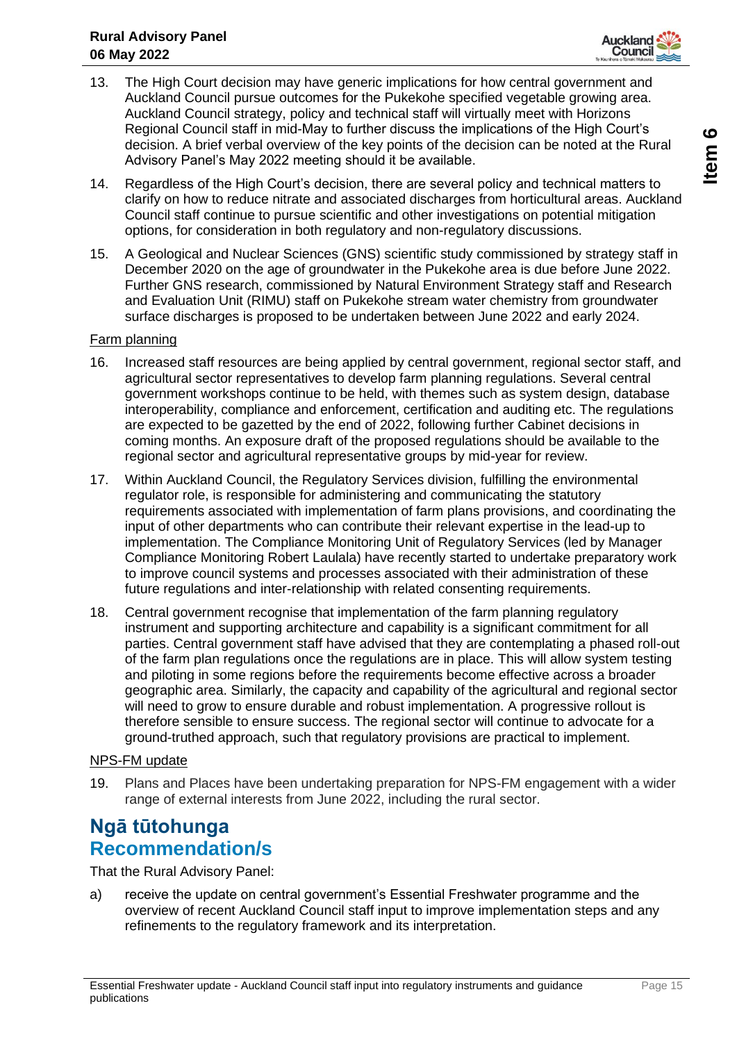

- 13. The High Court decision may have generic implications for how central government and Auckland Council pursue outcomes for the Pukekohe specified vegetable growing area. Auckland Council strategy, policy and technical staff will virtually meet with Horizons Regional Council staff in mid-May to further discuss the implications of the High Court's decision. A brief verbal overview of the key points of the decision can be noted at the Rural Advisory Panel's May 2022 meeting should it be available.
- 14. Regardless of the High Court's decision, there are several policy and technical matters to clarify on how to reduce nitrate and associated discharges from horticultural areas. Auckland Council staff continue to pursue scientific and other investigations on potential mitigation options, for consideration in both regulatory and non-regulatory discussions.
- 15. A Geological and Nuclear Sciences (GNS) scientific study commissioned by strategy staff in December 2020 on the age of groundwater in the Pukekohe area is due before June 2022. Further GNS research, commissioned by Natural Environment Strategy staff and Research and Evaluation Unit (RIMU) staff on Pukekohe stream water chemistry from groundwater surface discharges is proposed to be undertaken between June 2022 and early 2024.

#### Farm planning

- 16. Increased staff resources are being applied by central government, regional sector staff, and agricultural sector representatives to develop farm planning regulations. Several central government workshops continue to be held, with themes such as system design, database interoperability, compliance and enforcement, certification and auditing etc. The regulations are expected to be gazetted by the end of 2022, following further Cabinet decisions in coming months. An exposure draft of the proposed regulations should be available to the regional sector and agricultural representative groups by mid-year for review.
- 17. Within Auckland Council, the Regulatory Services division, fulfilling the environmental regulator role, is responsible for administering and communicating the statutory requirements associated with implementation of farm plans provisions, and coordinating the input of other departments who can contribute their relevant expertise in the lead-up to implementation. The Compliance Monitoring Unit of Regulatory Services (led by Manager Compliance Monitoring Robert Laulala) have recently started to undertake preparatory work to improve council systems and processes associated with their administration of these future regulations and inter-relationship with related consenting requirements.
- 18. Central government recognise that implementation of the farm planning regulatory instrument and supporting architecture and capability is a significant commitment for all parties. Central government staff have advised that they are contemplating a phased roll-out of the farm plan regulations once the regulations are in place. This will allow system testing and piloting in some regions before the requirements become effective across a broader geographic area. Similarly, the capacity and capability of the agricultural and regional sector will need to grow to ensure durable and robust implementation. A progressive rollout is therefore sensible to ensure success. The regional sector will continue to advocate for a ground-truthed approach, such that regulatory provisions are practical to implement.

#### NPS-FM update

19. Plans and Places have been undertaking preparation for NPS-FM engagement with a wider range of external interests from June 2022, including the rural sector.

## **Ngā tūtohunga Recommendation/s**

That the Rural Advisory Panel:

a) receive the update on central government's Essential Freshwater programme and the overview of recent Auckland Council staff input to improve implementation steps and any refinements to the regulatory framework and its interpretation.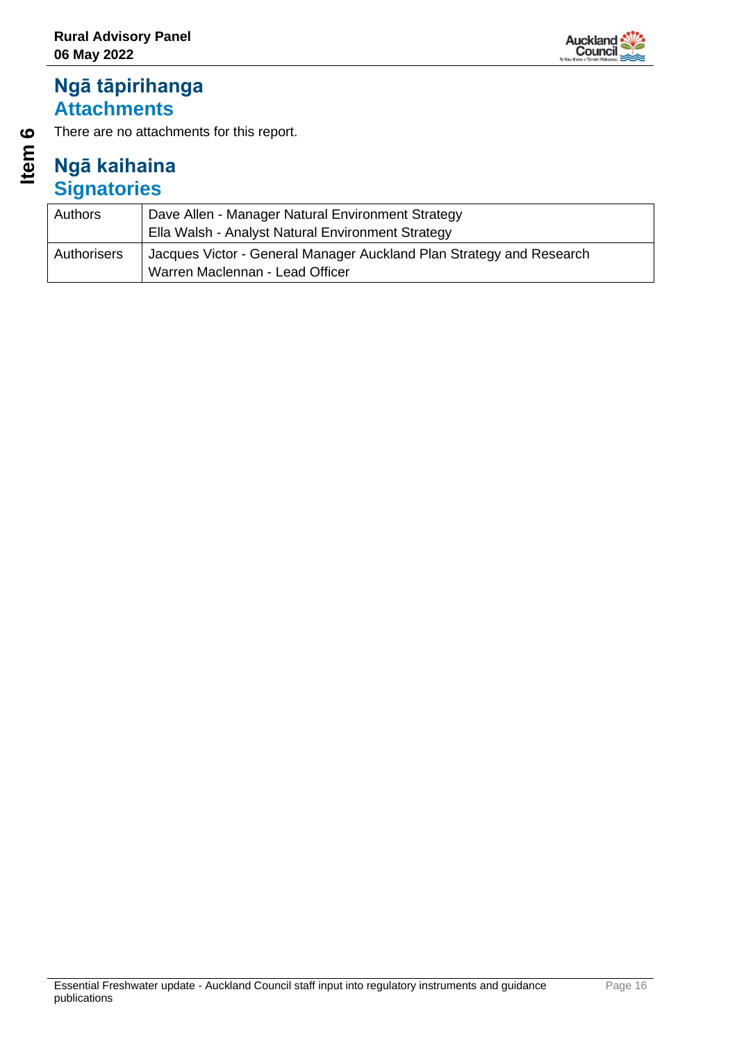## Auckland<br>Counci

## **Ngā tāpirihanga Attachments**

There are no attachments for this report.

# **Item 6**

| Authors     | Dave Allen - Manager Natural Environment Strategy<br>Ella Walsh - Analyst Natural Environment Strategy  |
|-------------|---------------------------------------------------------------------------------------------------------|
| Authorisers | Jacques Victor - General Manager Auckland Plan Strategy and Research<br>Warren Maclennan - Lead Officer |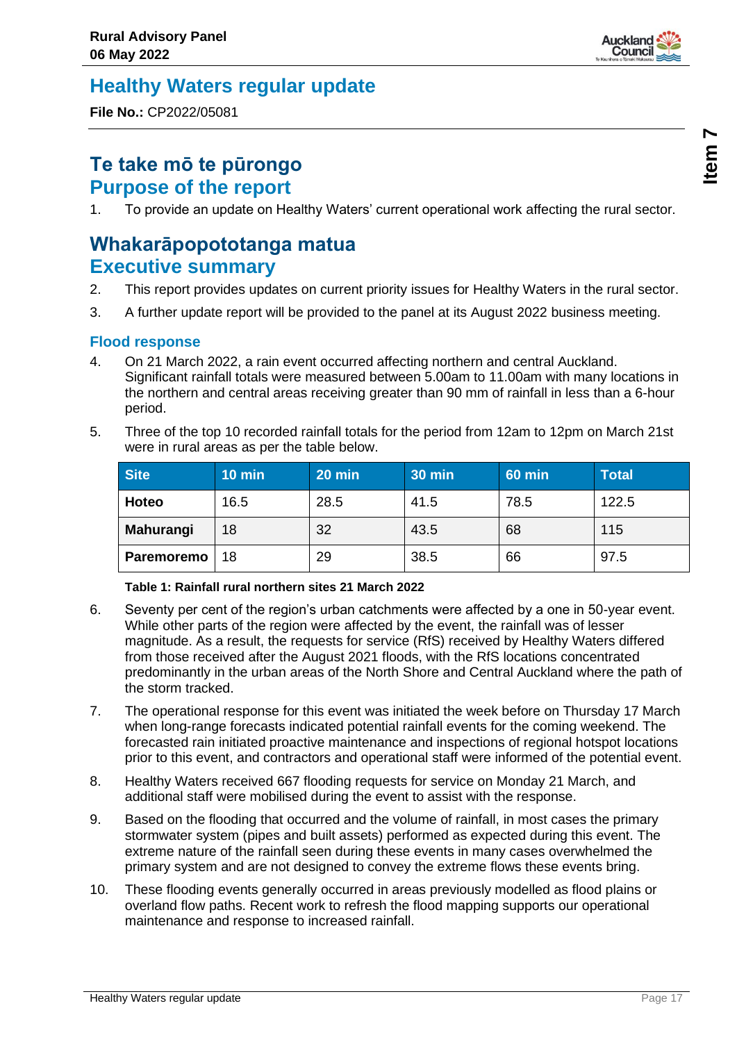

## <span id="page-16-0"></span>**Healthy Waters regular update**

**File No.:** CP2022/05081

## **Te take mō te pūrongo Purpose of the report**

1. To provide an update on Healthy Waters' current operational work affecting the rural sector.

## **Whakarāpopototanga matua Executive summary**

- 2. This report provides updates on current priority issues for Healthy Waters in the rural sector.
- 3. A further update report will be provided to the panel at its August 2022 business meeting.

#### **Flood response**

- 4. On 21 March 2022, a rain event occurred affecting northern and central Auckland. Significant rainfall totals were measured between 5.00am to 11.00am with many locations in the northern and central areas receiving greater than 90 mm of rainfall in less than a 6-hour period.
- 5. Three of the top 10 recorded rainfall totals for the period from 12am to 12pm on March 21st were in rural areas as per the table below.

| <b>Site</b> | $10$ min | 20 min | <b>30 min</b> | <b>60 min</b> | <b>Total</b> |
|-------------|----------|--------|---------------|---------------|--------------|
| Hoteo       | 16.5     | 28.5   | 41.5          | 78.5          | 122.5        |
| Mahurangi   | 18       | 32     | 43.5          | 68            | 115          |
| Paremoremo  | 18       | 29     | 38.5          | 66            | 97.5         |

#### **Table 1: Rainfall rural northern sites 21 March 2022**

- 6. Seventy per cent of the region's urban catchments were affected by a one in 50-year event. While other parts of the region were affected by the event, the rainfall was of lesser magnitude. As a result, the requests for service (RfS) received by Healthy Waters differed from those received after the August 2021 floods, with the RfS locations concentrated predominantly in the urban areas of the North Shore and Central Auckland where the path of the storm tracked.
- 7. The operational response for this event was initiated the week before on Thursday 17 March when long-range forecasts indicated potential rainfall events for the coming weekend. The forecasted rain initiated proactive maintenance and inspections of regional hotspot locations prior to this event, and contractors and operational staff were informed of the potential event.
- 8. Healthy Waters received 667 flooding requests for service on Monday 21 March, and additional staff were mobilised during the event to assist with the response.
- 9. Based on the flooding that occurred and the volume of rainfall, in most cases the primary stormwater system (pipes and built assets) performed as expected during this event. The extreme nature of the rainfall seen during these events in many cases overwhelmed the primary system and are not designed to convey the extreme flows these events bring.
- 10. These flooding events generally occurred in areas previously modelled as flood plains or overland flow paths. Recent work to refresh the flood mapping supports our operational maintenance and response to increased rainfall.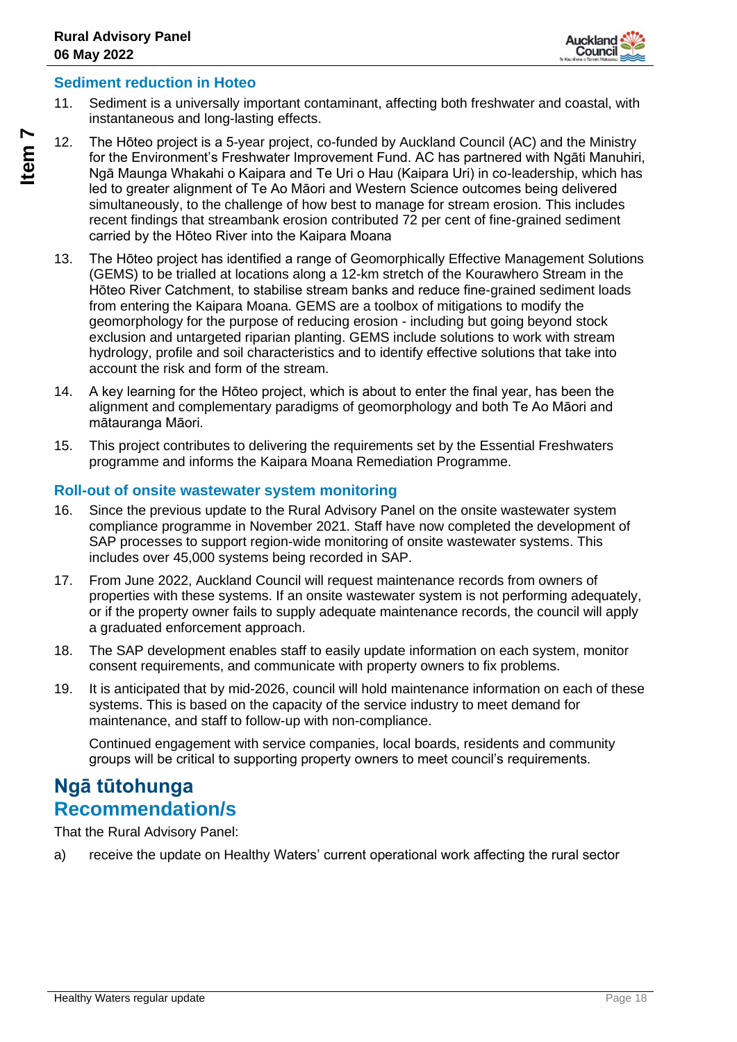

#### **Sediment reduction in Hoteo**

- 11. Sediment is a universally important contaminant, affecting both freshwater and coastal, with instantaneous and long-lasting effects.
- 12. The Hōteo project is a 5-year project, co-funded by Auckland Council (AC) and the Ministry for the Environment's Freshwater Improvement Fund. AC has partnered with Ngāti Manuhiri, Ngā Maunga Whakahi o Kaipara and Te Uri o Hau (Kaipara Uri) in co-leadership, which has led to greater alignment of Te Ao Māori and Western Science outcomes being delivered simultaneously, to the challenge of how best to manage for stream erosion. This includes recent findings that streambank erosion contributed 72 per cent of fine-grained sediment carried by the Hōteo River into the Kaipara Moana
- 13. The Hōteo project has identified a range of Geomorphically Effective Management Solutions (GEMS) to be trialled at locations along a 12-km stretch of the Kourawhero Stream in the Hōteo River Catchment, to stabilise stream banks and reduce fine-grained sediment loads from entering the Kaipara Moana. GEMS are a toolbox of mitigations to modify the geomorphology for the purpose of reducing erosion - including but going beyond stock exclusion and untargeted riparian planting. GEMS include solutions to work with stream hydrology, profile and soil characteristics and to identify effective solutions that take into account the risk and form of the stream.
- 14. A key learning for the Hōteo project, which is about to enter the final year, has been the alignment and complementary paradigms of geomorphology and both Te Ao Māori and mātauranga Māori.
- 15. This project contributes to delivering the requirements set by the Essential Freshwaters programme and informs the Kaipara Moana Remediation Programme.

#### **Roll-out of onsite wastewater system monitoring**

- 16. Since the previous update to the Rural Advisory Panel on the onsite wastewater system compliance programme in November 2021. Staff have now completed the development of SAP processes to support region-wide monitoring of onsite wastewater systems. This includes over 45,000 systems being recorded in SAP.
- 17. From June 2022, Auckland Council will request maintenance records from owners of properties with these systems. If an onsite wastewater system is not performing adequately, or if the property owner fails to supply adequate maintenance records, the council will apply a graduated enforcement approach.
- 18. The SAP development enables staff to easily update information on each system, monitor consent requirements, and communicate with property owners to fix problems.
- 19. It is anticipated that by mid-2026, council will hold maintenance information on each of these systems. This is based on the capacity of the service industry to meet demand for maintenance, and staff to follow-up with non-compliance.

Continued engagement with service companies, local boards, residents and community groups will be critical to supporting property owners to meet council's requirements.

#### **Ngā tūtohunga Recommendation/s**

That the Rural Advisory Panel:

a) receive the update on Healthy Waters' current operational work affecting the rural sector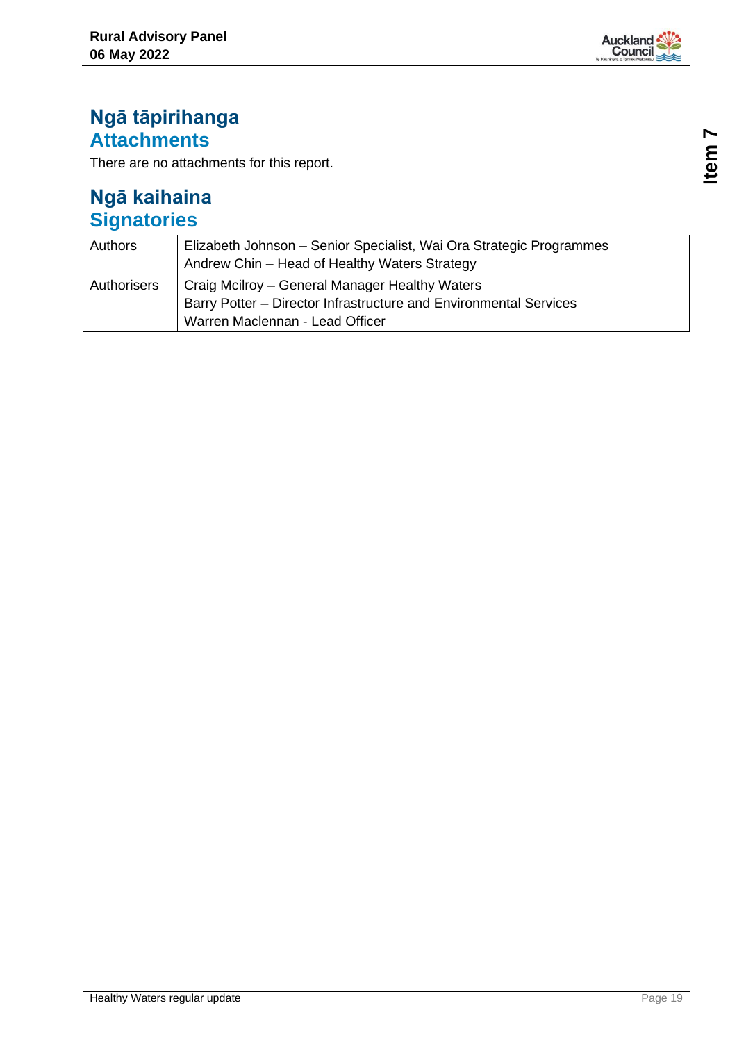

## **Ngā tāpirihanga Attachments**

There are no attachments for this report.

| Authors     | Elizabeth Johnson - Senior Specialist, Wai Ora Strategic Programmes<br>Andrew Chin - Head of Healthy Waters Strategy                                   |
|-------------|--------------------------------------------------------------------------------------------------------------------------------------------------------|
| Authorisers | Craig Mcilroy – General Manager Healthy Waters<br>Barry Potter – Director Infrastructure and Environmental Services<br>Warren Maclennan - Lead Officer |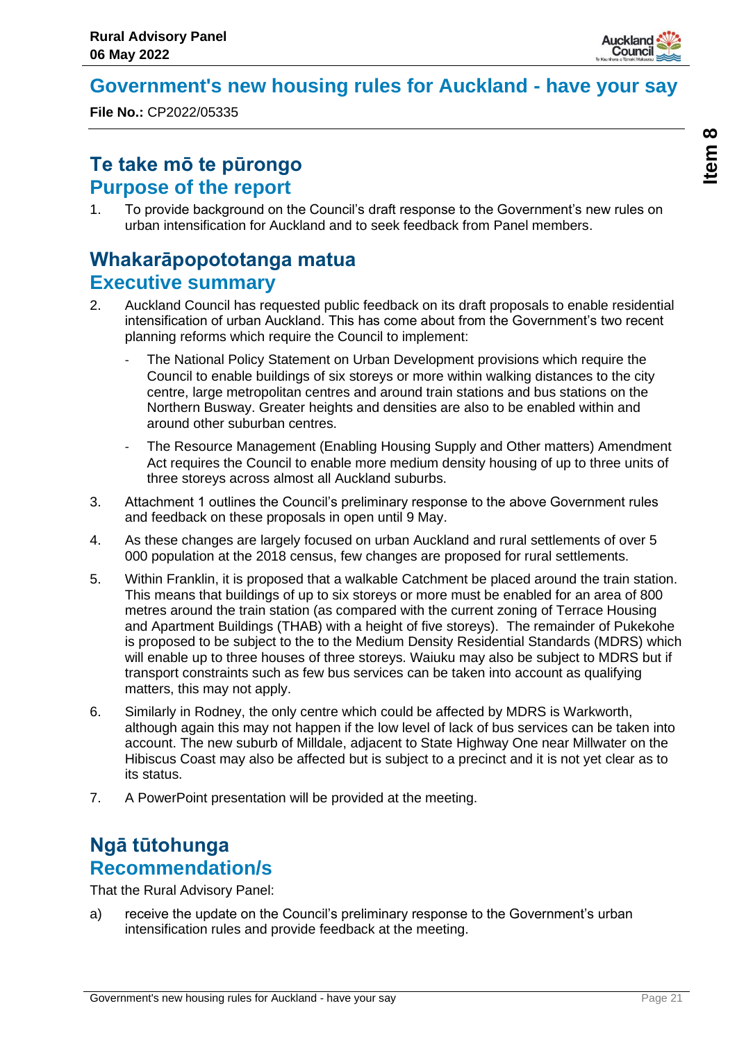

## <span id="page-20-0"></span>**Government's new housing rules for Auckland - have your say**

**File No.:** CP2022/05335

## **Te take mō te pūrongo Purpose of the report**

1. To provide background on the Council's draft response to the Government's new rules on urban intensification for Auckland and to seek feedback from Panel members.

## **Whakarāpopototanga matua Executive summary**

- 2. Auckland Council has requested public feedback on its draft proposals to enable residential intensification of urban Auckland. This has come about from the Government's two recent planning reforms which require the Council to implement:
	- The National Policy Statement on Urban Development provisions which require the Council to enable buildings of six storeys or more within walking distances to the city centre, large metropolitan centres and around train stations and bus stations on the Northern Busway. Greater heights and densities are also to be enabled within and around other suburban centres.
	- The Resource Management (Enabling Housing Supply and Other matters) Amendment Act requires the Council to enable more medium density housing of up to three units of three storeys across almost all Auckland suburbs.
- 3. Attachment 1 outlines the Council's preliminary response to the above Government rules and feedback on these proposals in open until 9 May.
- 4. As these changes are largely focused on urban Auckland and rural settlements of over 5 000 population at the 2018 census, few changes are proposed for rural settlements.
- 5. Within Franklin, it is proposed that a walkable Catchment be placed around the train station. This means that buildings of up to six storeys or more must be enabled for an area of 800 metres around the train station (as compared with the current zoning of Terrace Housing and Apartment Buildings (THAB) with a height of five storeys). The remainder of Pukekohe is proposed to be subject to the to the Medium Density Residential Standards (MDRS) which will enable up to three houses of three storeys. Waiuku may also be subject to MDRS but if transport constraints such as few bus services can be taken into account as qualifying matters, this may not apply.
- 6. Similarly in Rodney, the only centre which could be affected by MDRS is Warkworth, although again this may not happen if the low level of lack of bus services can be taken into account. The new suburb of Milldale, adjacent to State Highway One near Millwater on the Hibiscus Coast may also be affected but is subject to a precinct and it is not yet clear as to its status.
- 7. A PowerPoint presentation will be provided at the meeting.

## **Ngā tūtohunga Recommendation/s**

That the Rural Advisory Panel:

a) receive the update on the Council's preliminary response to the Government's urban intensification rules and provide feedback at the meeting.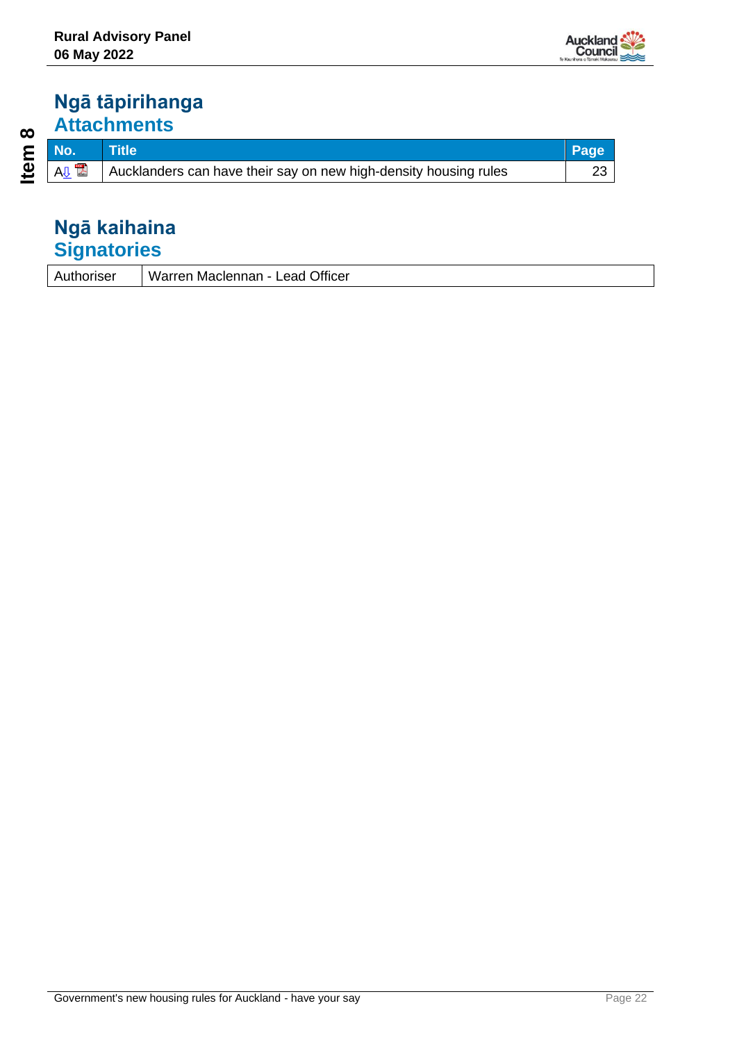

## **Ngā tāpirihanga Attachments**

| moriser | Warren Maclennan - Lead Officer |
|---------|---------------------------------|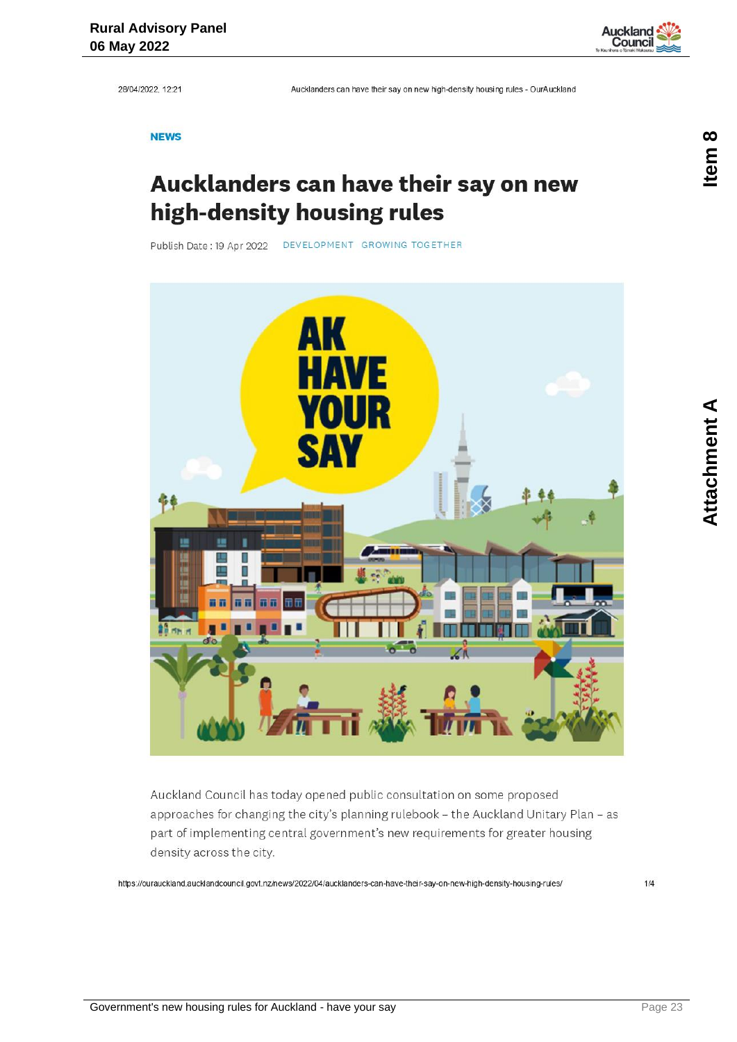<span id="page-22-0"></span>28/04/2022, 12:21

Aucklanders can have their say on new high-density housing rules - OurAuckland

**NEWS** 

## Aucklanders can have their say on new high-density housing rules

Publish Date: 19 Apr 2022 DEVELOPMENT GROWING TOGETHER



Auckland Council has today opened public consultation on some proposed approaches for changing the city's planning rulebook - the Auckland Unitary Plan - as part of implementing central government's new requirements for greater housing density across the city.

https://ourauckland.aucklandcouncil.govt.nz/news/2022/04/aucklanders-can-have-their-say-on-new-high-density-housing-rules/

**Auckland** Counci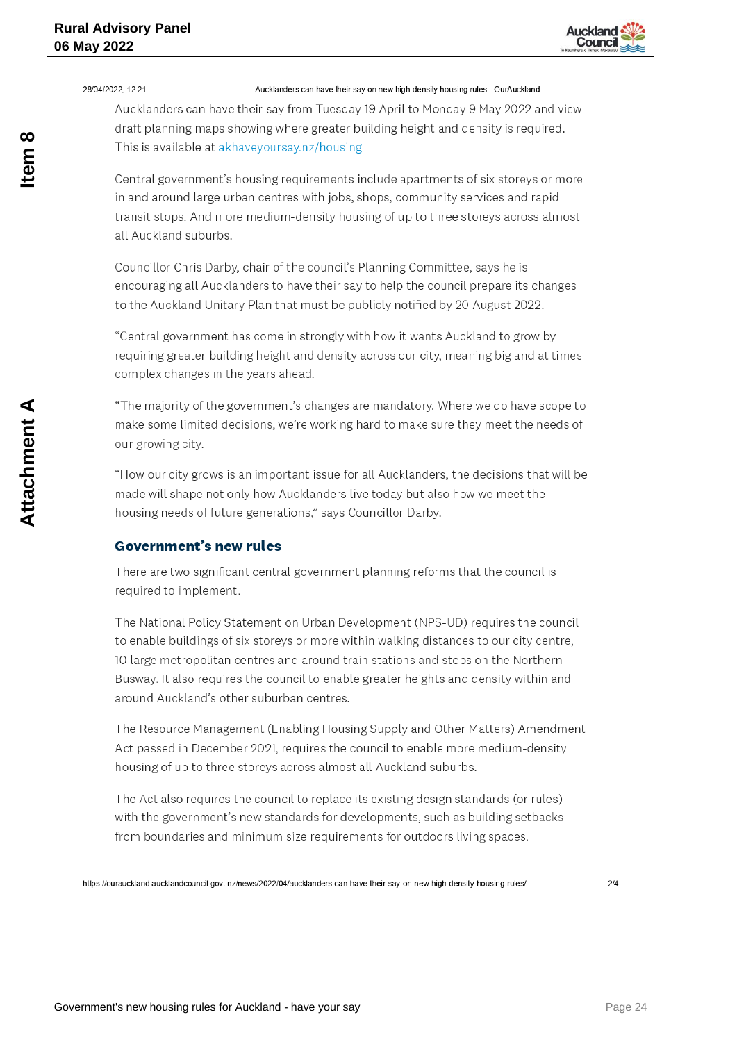

28/04/2022 12:21

#### Aucklanders can have their say on new high-density housing rules - OurAuckland

Aucklanders can have their say from Tuesday 19 April to Monday 9 May 2022 and view draft planning maps showing where greater building height and density is required. This is available at akhavevoursay.nz/housing

Central government's housing requirements include apartments of six storeys or more in and around large urban centres with jobs, shops, community services and rapid transit stops. And more medium-density housing of up to three storeys across almost all Auckland suburbs.

Councillor Chris Darby, chair of the council's Planning Committee, says he is encouraging all Aucklanders to have their say to help the council prepare its changes to the Auckland Unitary Plan that must be publicly notified by 20 August 2022.

"Central government has come in strongly with how it wants Auckland to grow by requiring greater building height and density across our city, meaning big and at times complex changes in the years ahead.

"The majority of the government's changes are mandatory. Where we do have scope to make some limited decisions, we're working hard to make sure they meet the needs of our growing city.

"How our city grows is an important issue for all Aucklanders, the decisions that will be made will shape not only how Aucklanders live today but also how we meet the housing needs of future generations," says Councillor Darby.

#### **Government's new rules**

There are two significant central government planning reforms that the council is required to implement.

The National Policy Statement on Urban Development (NPS-UD) requires the council to enable buildings of six storeys or more within walking distances to our city centre, 10 large metropolitan centres and around train stations and stops on the Northern Busway. It also requires the council to enable greater heights and density within and around Auckland's other suburban centres.

The Resource Management (Enabling Housing Supply and Other Matters) Amendment Act passed in December 2021, requires the council to enable more medium-density housing of up to three storeys across almost all Auckland suburbs.

The Act also requires the council to replace its existing design standards (or rules) with the government's new standards for developments, such as building setbacks from boundaries and minimum size requirements for outdoors living spaces.

https://ourauckland.aucklandcouncil.govt.nz/news/2022/04/aucklanders-can-have-their-say-on-new-high-density-housing-rules/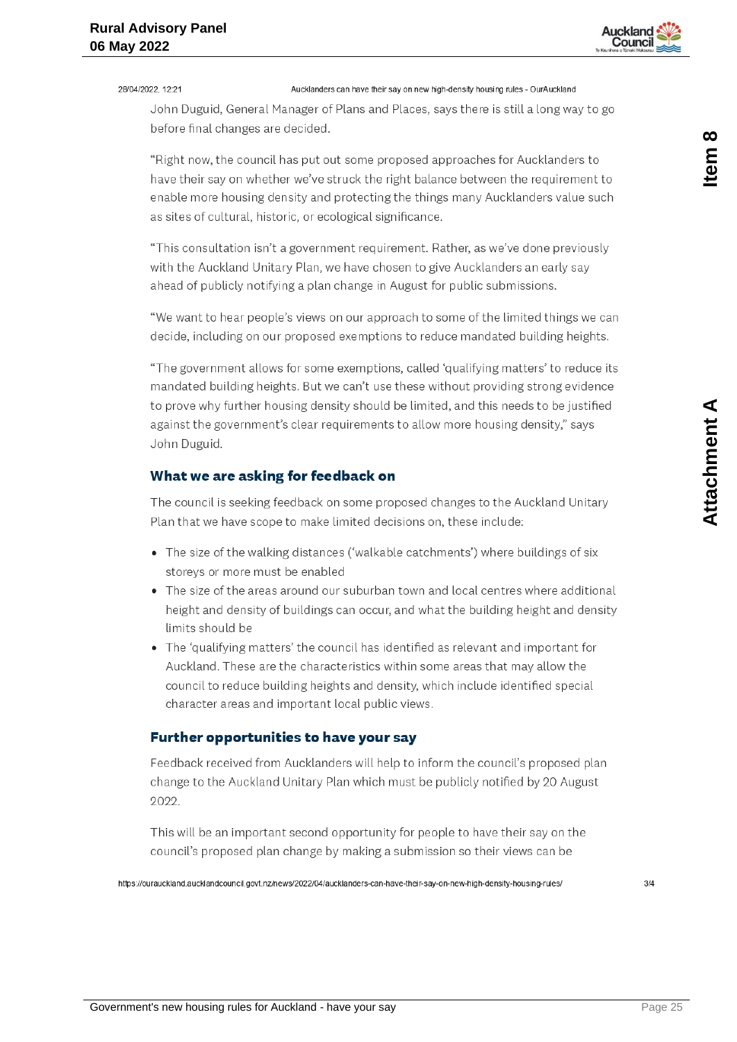

#### 28/04/2022 12:21

Aucklanders can have their say on new high-density housing rules - OurAuckland

John Duguid, General Manager of Plans and Places, says there is still a long way to go before final changes are decided.

"Right now, the council has put out some proposed approaches for Aucklanders to have their say on whether we've struck the right balance between the requirement to enable more housing density and protecting the things many Aucklanders value such as sites of cultural, historic, or ecological significance.

"This consultation isn't a government requirement. Rather, as we've done previously with the Auckland Unitary Plan, we have chosen to give Aucklanders an early say ahead of publicly notifying a plan change in August for public submissions.

"We want to hear people's views on our approach to some of the limited things we can decide, including on our proposed exemptions to reduce mandated building heights.

"The government allows for some exemptions, called 'qualifying matters' to reduce its mandated building heights. But we can't use these without providing strong evidence to prove why further housing density should be limited, and this needs to be justified against the government's clear requirements to allow more housing density," says John Duguid.

#### What we are asking for feedback on

The council is seeking feedback on some proposed changes to the Auckland Unitary Plan that we have scope to make limited decisions on, these include:

- The size of the walking distances ('walkable catchments') where buildings of six storevs or more must be enabled
- The size of the areas around our suburban town and local centres where additional height and density of buildings can occur, and what the building height and density limits should be
- The 'qualifying matters' the council has identified as relevant and important for Auckland. These are the characteristics within some areas that may allow the council to reduce building heights and density, which include identified special character areas and important local public views.

#### Further opportunities to have your say

Feedback received from Aucklanders will help to inform the council's proposed plan change to the Auckland Unitary Plan which must be publicly notified by 20 August 2022.

This will be an important second opportunity for people to have their say on the council's proposed plan change by making a submission so their views can be

https://ourauckland.aucklandcouncil.govt.nz/news/2022/04/aucklanders-can-have-their-say-on-new-high-density-housing-rules/

Item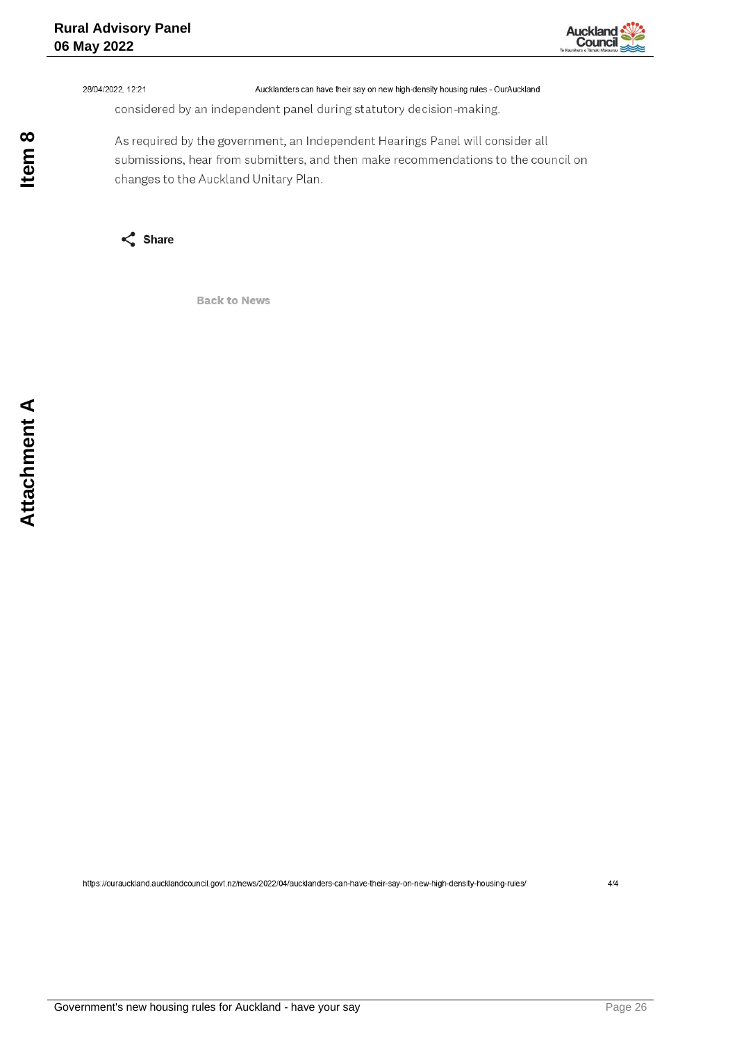

28/04/2022, 12:21

Aucklanders can have their say on new high-density housing rules - OurAuckland

considered by an independent panel during statutory decision-making.

As required by the government, an Independent Hearings Panel will consider all submissions, hear from submitters, and then make recommendations to the council on changes to the Auckland Unitary Plan.



**Back to News** 

Item 8

https://ourauckland.aucklandcouncil.govt.nz/news/2022/04/aucklanders-can-have-their-say-on-new-high-density-housing-rules/